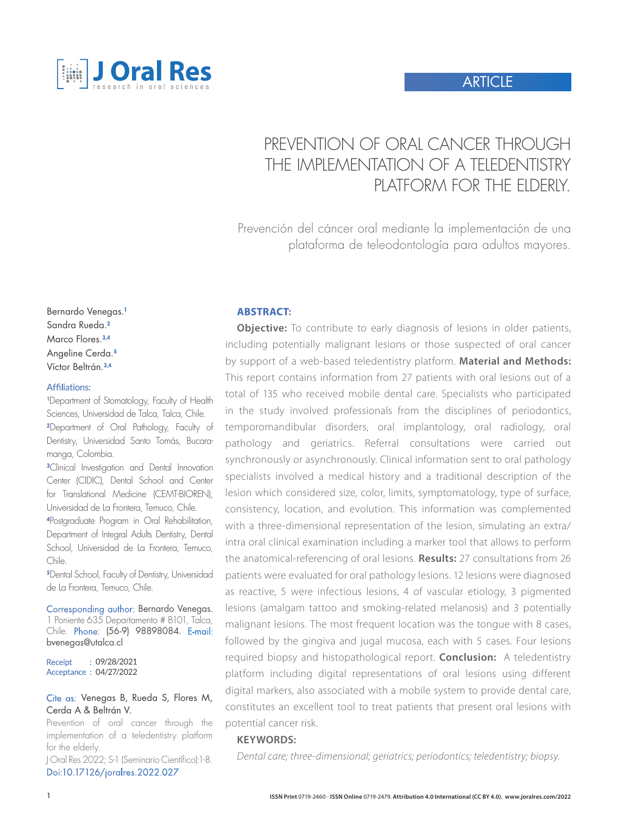

# PREVENTION OF ORAL CANCER THROUGH THE IMPIFMENTATION OF A TFIFDENTISTRY PLATFORM FOR THE FIDERLY.

Prevención del cáncer oral mediante la implementación de una plataforma de teleodontología para adultos mayores.

Bernardo Venegas.<sup>1</sup> Sandra Rueda.<sup>2</sup> Marco Flores.3,4 Angeline Cerda.<sup>5</sup> Víctor Beltrán.3,4

#### Affiliations:

1 Department of Stomatology, Faculty of Health Sciences, Universidad de Talca, Talca, Chile. <sup>2</sup>Department of Oral Pathology, Faculty of Dentistry, Universidad Santo Tomás, Bucaramanga, Colombia.

<sup>3</sup>Clinical Investigation and Dental Innovation Center (CIDIC), Dental School and Center for Translational Medicine (CEMT-BIOREN), Universidad de La Frontera, Temuco, Chile.

<sup>4</sup>Postgraduate Program in Oral Rehabilitation, Department of Integral Adults Dentistry, Dental School, Universidad de La Frontera, Temuco, Chile.

<sup>5</sup>Dental School, Faculty of Dentistry, Universidad de La Frontera, Temuco, Chile.

Corresponding author: Bernardo Venegas. 1 Poniente 635 Departamento # B101, Talca, Chile. Phone: (56-9) 98898084. E-mail: bvenegas@utalca.cl

Receipt : 09/28/2021 Acceptance : 04/27/2022

#### Cite as: Venegas B, Rueda S, Flores M, Cerda A & Beltrán V.

Prevention of oral cancer through the implementation of a teledentistry platform for the elderly.

J Oral Res 2022; S-1 (Seminario Científico):1-8. Doi:10.17126/joralres.2022.027

#### **ABSTRACT:**

**Objective:** To contribute to early diagnosis of lesions in older patients, including potentially malignant lesions or those suspected of oral cancer by support of a web-based teledentistry platform. **Material and Methods:** This report contains information from 27 patients with oral lesions out of a total of 135 who received mobile dental care. Specialists who participated in the study involved professionals from the disciplines of periodontics, temporomandibular disorders, oral implantology, oral radiology, oral pathology and geriatrics. Referral consultations were carried out synchronously or asynchronously. Clinical information sent to oral pathology specialists involved a medical history and a traditional description of the lesion which considered size, color, limits, symptomatology, type of surface, consistency, location, and evolution. This information was complemented with a three-dimensional representation of the lesion, simulating an extra/ intra oral clinical examination including a marker tool that allows to perform the anatomical-referencing of oral lesions. **Results:** 27 consultations from 26 patients were evaluated for oral pathology lesions. 12 lesions were diagnosed as reactive, 5 were infectious lesions, 4 of vascular etiology, 3 pigmented lesions (amalgam tattoo and smoking-related melanosis) and 3 potentially malignant lesions. The most frequent location was the tongue with 8 cases, followed by the gingiva and jugal mucosa, each with 5 cases. Four lesions required biopsy and histopathological report. **Conclusion:** A teledentistry platform including digital representations of oral lesions using different digital markers, also associated with a mobile system to provide dental care, constitutes an excellent tool to treat patients that present oral lesions with potential cancer risk.

#### **KEYWORDS:**

*Dental care; three-dimensional; geriatrics; periodontics; teledentistry; biopsy.*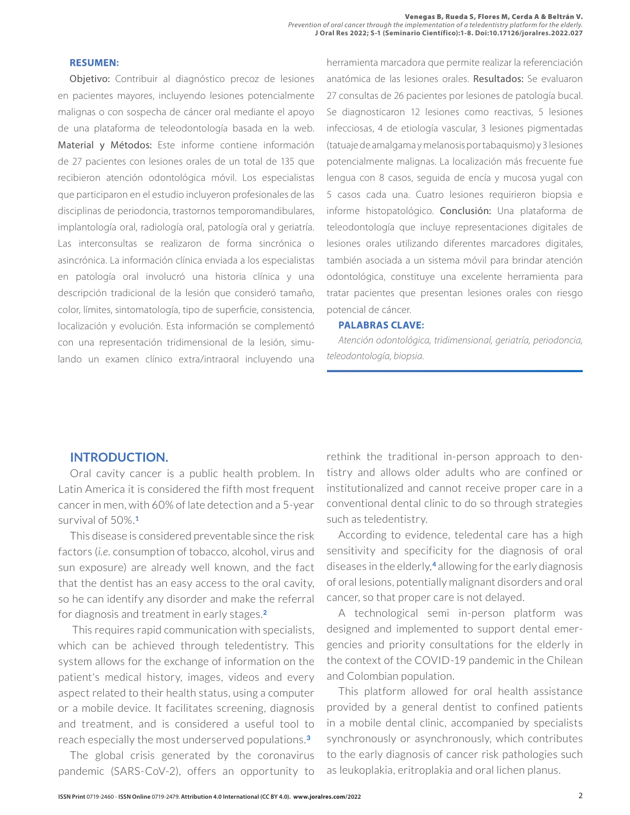#### **RESUMEN:**

Objetivo: Contribuir al diagnóstico precoz de lesiones en pacientes mayores, incluyendo lesiones potencialmente malignas o con sospecha de cáncer oral mediante el apoyo de una plataforma de teleodontología basada en la web. Material y Métodos: Este informe contiene información de 27 pacientes con lesiones orales de un total de 135 que recibieron atención odontológica móvil. Los especialistas que participaron en el estudio incluyeron profesionales de las disciplinas de periodoncia, trastornos temporomandibulares, implantología oral, radiología oral, patología oral y geriatría. Las interconsultas se realizaron de forma sincrónica o asincrónica. La información clínica enviada a los especialistas en patología oral involucró una historia clínica y una descripción tradicional de la lesión que consideró tamaño, color, límites, sintomatología, tipo de superficie, consistencia, localización y evolución. Esta información se complementó con una representación tridimensional de la lesión, simulando un examen clínico extra/intraoral incluyendo una herramienta marcadora que permite realizar la referenciación anatómica de las lesiones orales. Resultados: Se evaluaron 27 consultas de 26 pacientes por lesiones de patología bucal. Se diagnosticaron 12 lesiones como reactivas, 5 lesiones infecciosas, 4 de etiología vascular, 3 lesiones pigmentadas (tatuaje de amalgama y melanosis por tabaquismo) y 3 lesiones potencialmente malignas. La localización más frecuente fue lengua con 8 casos, seguida de encía y mucosa yugal con 5 casos cada una. Cuatro lesiones requirieron biopsia e informe histopatológico. Conclusión: Una plataforma de teleodontología que incluye representaciones digitales de lesiones orales utilizando diferentes marcadores digitales, también asociada a un sistema móvil para brindar atención odontológica, constituye una excelente herramienta para tratar pacientes que presentan lesiones orales con riesgo potencial de cáncer.

#### **PALABRAS CLAVE:**

*Atención odontológica, tridimensional, geriatría, periodoncia, teleodontología, biopsia.*

## **INTRODUCTION.**

Oral cavity cancer is a public health problem. In Latin America it is considered the fifth most frequent cancer in men, with 60% of late detection and a 5-year survival of 50%.**<sup>1</sup>**

This disease is considered preventable since the risk factors (*i.e.* consumption of tobacco, alcohol, virus and sun exposure) are already well known, and the fact that the dentist has an easy access to the oral cavity, so he can identify any disorder and make the referral for diagnosis and treatment in early stages. **2**

 This requires rapid communication with specialists, which can be achieved through teledentistry. This system allows for the exchange of information on the patient's medical history, images, videos and every aspect related to their health status, using a computer or a mobile device. It facilitates screening, diagnosis and treatment, and is considered a useful tool to reach especially the most underserved populations.**<sup>3</sup>**

The global crisis generated by the coronavirus pandemic (SARS-CoV-2), offers an opportunity to rethink the traditional in-person approach to dentistry and allows older adults who are confined or institutionalized and cannot receive proper care in a conventional dental clinic to do so through strategies such as teledentistry.

According to evidence, teledental care has a high sensitivity and specificity for the diagnosis of oral diseases in the elderly,**4** allowing for the early diagnosis of oral lesions, potentially malignant disorders and oral cancer, so that proper care is not delayed.

A technological semi in-person platform was designed and implemented to support dental emergencies and priority consultations for the elderly in the context of the COVID-19 pandemic in the Chilean and Colombian population.

This platform allowed for oral health assistance provided by a general dentist to confined patients in a mobile dental clinic, accompanied by specialists synchronously or asynchronously, which contributes to the early diagnosis of cancer risk pathologies such as leukoplakia, eritroplakia and oral lichen planus.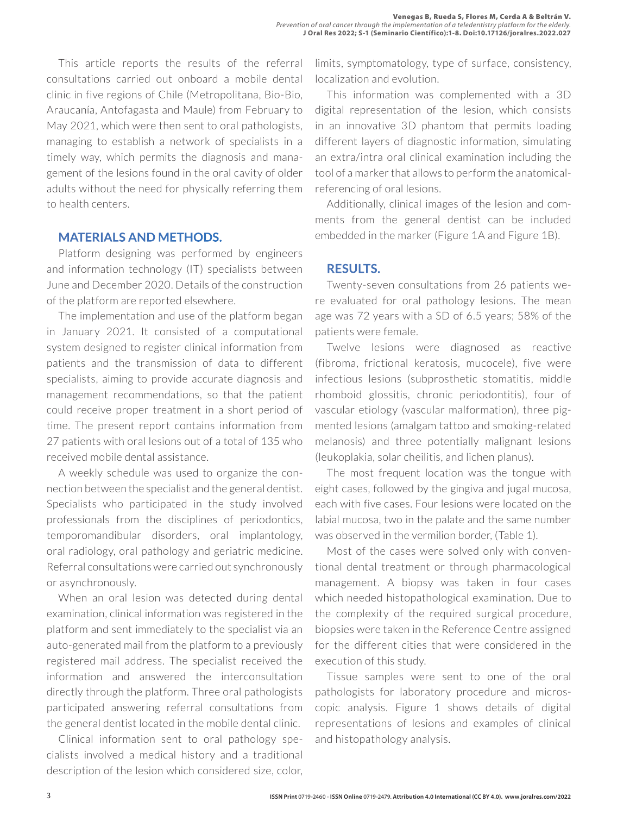This article reports the results of the referral consultations carried out onboard a mobile dental clinic in five regions of Chile (Metropolitana, Bio-Bio, Araucanía, Antofagasta and Maule) from February to May 2021, which were then sent to oral pathologists, managing to establish a network of specialists in a timely way, which permits the diagnosis and management of the lesions found in the oral cavity of older adults without the need for physically referring them to health centers.

## **MATERIALS AND METHODS.**

Platform designing was performed by engineers and information technology (IT) specialists between June and December 2020. Details of the construction of the platform are reported elsewhere.

The implementation and use of the platform began in January 2021. It consisted of a computational system designed to register clinical information from patients and the transmission of data to different specialists, aiming to provide accurate diagnosis and management recommendations, so that the patient could receive proper treatment in a short period of time. The present report contains information from 27 patients with oral lesions out of a total of 135 who received mobile dental assistance.

A weekly schedule was used to organize the connection between the specialist and the general dentist. Specialists who participated in the study involved professionals from the disciplines of periodontics, temporomandibular disorders, oral implantology, oral radiology, oral pathology and geriatric medicine. Referral consultations were carried out synchronously or asynchronously.

When an oral lesion was detected during dental examination, clinical information was registered in the platform and sent immediately to the specialist via an auto-generated mail from the platform to a previously registered mail address. The specialist received the information and answered the interconsultation directly through the platform. Three oral pathologists participated answering referral consultations from the general dentist located in the mobile dental clinic.

Clinical information sent to oral pathology specialists involved a medical history and a traditional description of the lesion which considered size, color, limits, symptomatology, type of surface, consistency, localization and evolution.

This information was complemented with a 3D digital representation of the lesion, which consists in an innovative 3D phantom that permits loading different layers of diagnostic information, simulating an extra/intra oral clinical examination including the tool of a marker that allows to perform the anatomicalreferencing of oral lesions.

Additionally, clinical images of the lesion and comments from the general dentist can be included embedded in the marker (Figure 1A and Figure 1B).

#### **RESULTS.**

Twenty-seven consultations from 26 patients were evaluated for oral pathology lesions. The mean age was 72 years with a SD of 6.5 years; 58% of the patients were female.

Twelve lesions were diagnosed as reactive (fibroma, frictional keratosis, mucocele), five were infectious lesions (subprosthetic stomatitis, middle rhomboid glossitis, chronic periodontitis), four of vascular etiology (vascular malformation), three pigmented lesions (amalgam tattoo and smoking-related melanosis) and three potentially malignant lesions (leukoplakia, solar cheilitis, and lichen planus).

The most frequent location was the tongue with eight cases, followed by the gingiva and jugal mucosa, each with five cases. Four lesions were located on the labial mucosa, two in the palate and the same number was observed in the vermilion border, (Table 1).

Most of the cases were solved only with conventional dental treatment or through pharmacological management. A biopsy was taken in four cases which needed histopathological examination. Due to the complexity of the required surgical procedure, biopsies were taken in the Reference Centre assigned for the different cities that were considered in the execution of this study.

Tissue samples were sent to one of the oral pathologists for laboratory procedure and microscopic analysis. Figure 1 shows details of digital representations of lesions and examples of clinical and histopathology analysis.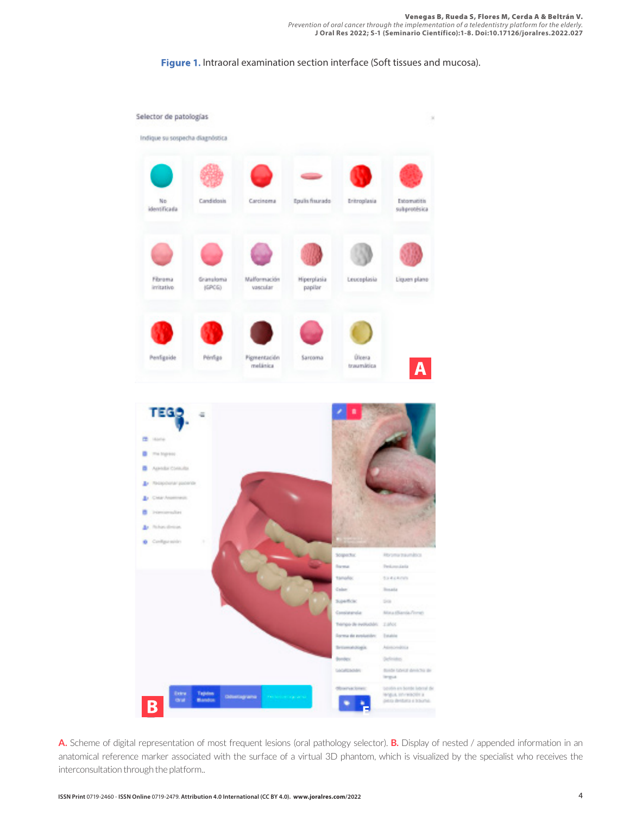**Figure 1.** Intraoral examination section interface (Soft tissues and mucosa).



**A.** Scheme of digital representation of most frequent lesions (oral pathology selector). **B.** Display of nested / appended information in an anatomical reference marker associated with the surface of a virtual 3D phantom, which is visualized by the specialist who receives the interconsultation through the platform..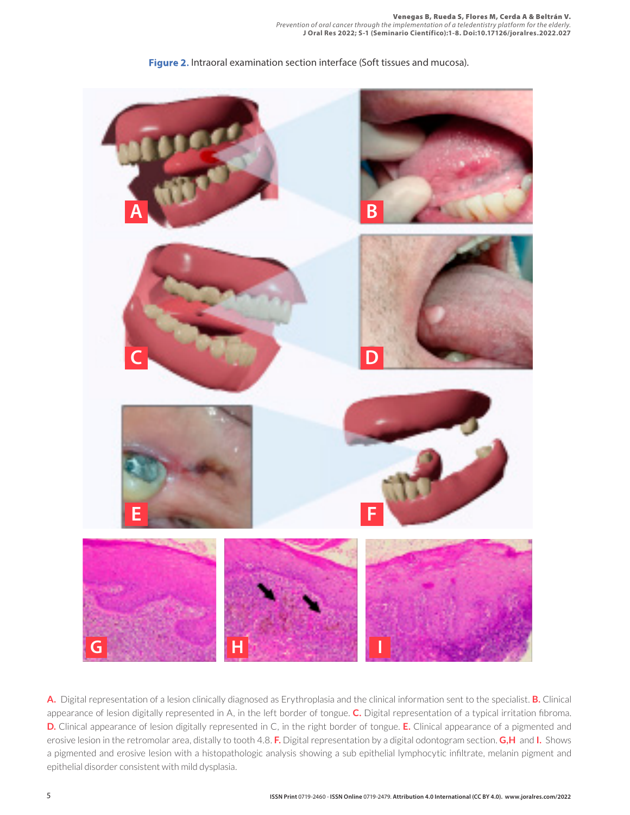**Figure 2.** Intraoral examination section interface (Soft tissues and mucosa).



**A.** Digital representation of a lesion clinically diagnosed as Erythroplasia and the clinical information sent to the specialist. **B.** Clinical appearance of lesion digitally represented in A, in the left border of tongue. **C.** Digital representation of a typical irritation fibroma. **D.** Clinical appearance of lesion digitally represented in C, in the right border of tongue. **E.** Clinical appearance of a pigmented and erosive lesion in the retromolar area, distally to tooth 4.8. **F.** Digital representation by a digital odontogram section. **G,H** and **I.** Shows a pigmented and erosive lesion with a histopathologic analysis showing a sub epithelial lymphocytic infiltrate, melanin pigment and epithelial disorder consistent with mild dysplasia.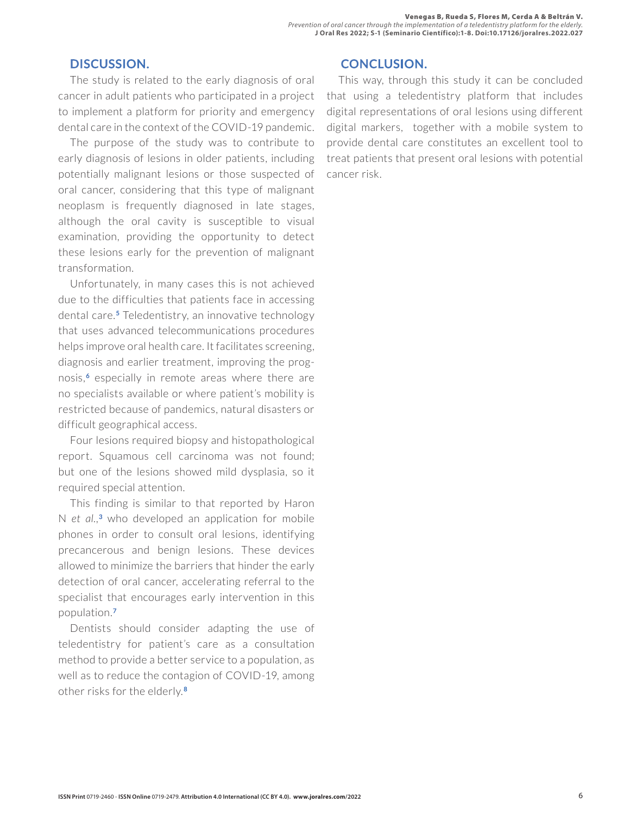# **DISCUSSION.**

The study is related to the early diagnosis of oral cancer in adult patients who participated in a project to implement a platform for priority and emergency dental care in the context of the COVID-19 pandemic.

The purpose of the study was to contribute to early diagnosis of lesions in older patients, including potentially malignant lesions or those suspected of oral cancer, considering that this type of malignant neoplasm is frequently diagnosed in late stages, although the oral cavity is susceptible to visual examination, providing the opportunity to detect these lesions early for the prevention of malignant transformation.

Unfortunately, in many cases this is not achieved due to the difficulties that patients face in accessing dental care.**5** Teledentistry, an innovative technology that uses advanced telecommunications procedures helps improve oral health care. It facilitates screening, diagnosis and earlier treatment, improving the prognosis,**6** especially in remote areas where there are no specialists available or where patient's mobility is restricted because of pandemics, natural disasters or difficult geographical access.

Four lesions required biopsy and histopathological report. Squamous cell carcinoma was not found; but one of the lesions showed mild dysplasia, so it required special attention.

This finding is similar to that reported by Haron N *et al.,***<sup>3</sup>** who developed an application for mobile phones in order to consult oral lesions, identifying precancerous and benign lesions. These devices allowed to minimize the barriers that hinder the early detection of oral cancer, accelerating referral to the specialist that encourages early intervention in this population.**<sup>7</sup>**

Dentists should consider adapting the use of teledentistry for patient's care as a consultation method to provide a better service to a population, as well as to reduce the contagion of COVID-19, among other risks for the elderly.**<sup>8</sup>**

# **CONCLUSION.**

This way, through this study it can be concluded that using a teledentistry platform that includes digital representations of oral lesions using different digital markers, together with a mobile system to provide dental care constitutes an excellent tool to treat patients that present oral lesions with potential cancer risk.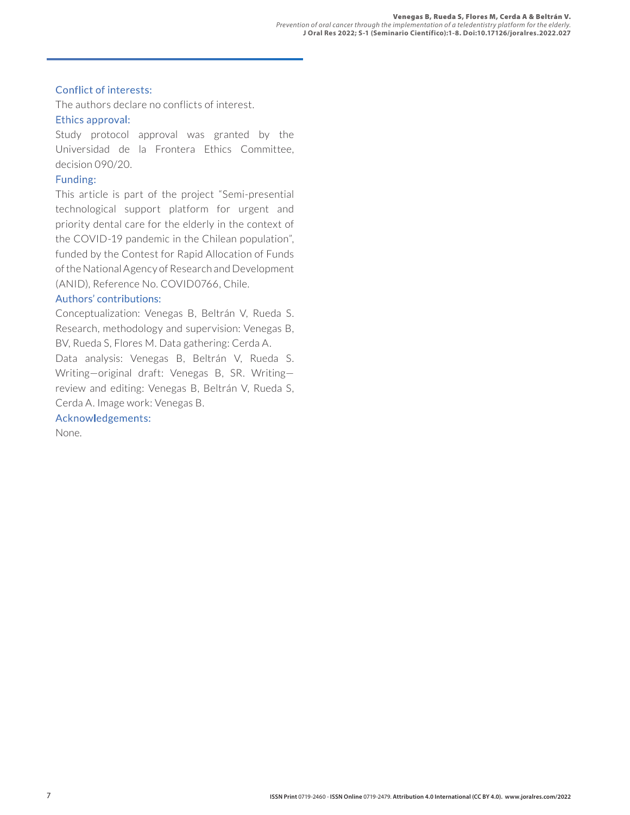#### Conflict of interests:

The authors declare no conflicts of interest.

### Ethics approval:

Study protocol approval was granted by the Universidad de la Frontera Ethics Committee, decision 090/20.

### Funding:

This article is part of the project "Semi-presential technological support platform for urgent and priority dental care for the elderly in the context of the COVID-19 pandemic in the Chilean population", funded by the Contest for Rapid Allocation of Funds of the National Agency of Research and Development (ANID), Reference No. COVID0766, Chile.

### Authors' contributions:

Conceptualization: Venegas B, Beltrán V, Rueda S. Research, methodology and supervision: Venegas B, BV, Rueda S, Flores M. Data gathering: Cerda A.

Data analysis: Venegas B, Beltrán V, Rueda S. Writing—original draft: Venegas B, SR. Writing review and editing: Venegas B, Beltrán V, Rueda S, Cerda A. Image work: Venegas B.

## Acknowledgements:

None.